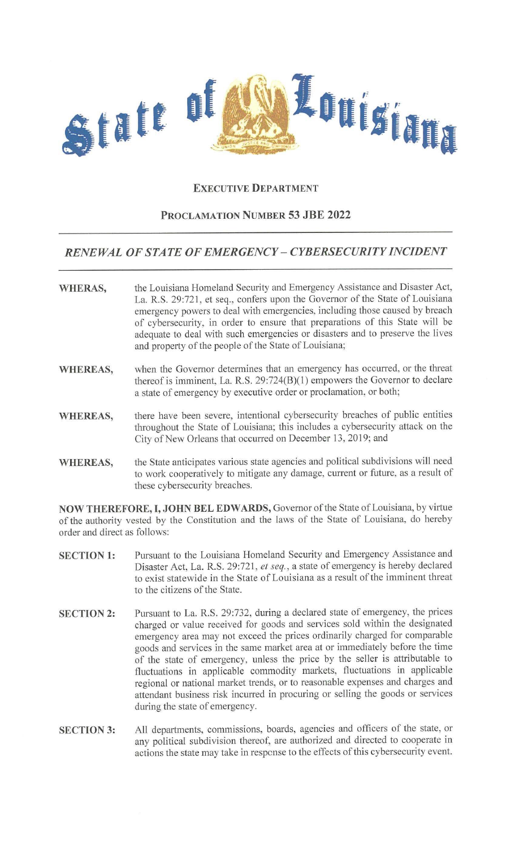

## **EXECUTIVE DEPARTMENT**

## **PROCLAMATION NUMBER 53 JBE 2022**

## *RENEWAL OF STATE OF EMERGENCY- CYBERSECURITY INCIDENT*

| <b>WHERAS,</b> | the Louisiana Homeland Security and Emergency Assistance and Disaster Act,<br>La. R.S. 29:721, et seq., confers upon the Governor of the State of Louisiana<br>emergency powers to deal with emergencies, including those caused by breach<br>of cybersecurity, in order to ensure that preparations of this State will be<br>adequate to deal with such emergencies or disasters and to preserve the lives |
|----------------|-------------------------------------------------------------------------------------------------------------------------------------------------------------------------------------------------------------------------------------------------------------------------------------------------------------------------------------------------------------------------------------------------------------|
|                | and property of the people of the State of Louisiana;                                                                                                                                                                                                                                                                                                                                                       |

- **WHEREAS,**  when the Governor determines that an emergency has occurred, or the threat thereof is imminent, La. R.S. 29:724(B)(l) empowers the Governor to declare a state of emergency by executive order or proclamation, or both;
- **WHEREAS,**  there have been severe, intentional cybersecurity breaches of public entities throughout the State of Louisiana; this includes a cybersecurity attack on the City of New Orleans that occurred on December 13, 2019; and
- **WHEREAS,**  the State anticipates various state agencies and political subdivisions will need to work cooperatively to mitigate any damage, current or future, as a result of these cybersecurity breaches.

**NOW THEREFORE, I, JOHN BEL EDWARDS,** Governor of the State of Louisiana, by virtue of the authority vested by the Constitution and the laws of the State of Louisiana, do hereby order and direct as follows:

- **SECTION 1:**  Pursuant to the Louisiana Homeland Security and Emergency Assistance and Disaster Act, La. R.S. 29:721, *et seq.,* a state of emergency is hereby declared to exist statewide in the State of Louisiana as a result of the imminent threat to the citizens of the State.
- **SECTION 2:**  Pursuant to La. R.S. 29:732, during a declared state of emergency, the prices charged or value received for goods and services sold within the designated emergency area may not exceed the prices ordinarily charged for comparable goods and services in the same market area at or immediately before the time of the state of emergency, unless the price by the seller is attributable to fluctuations in applicable commodity markets, fluctuations in applicable regional or national market trends, or to reasonable expenses and charges and attendant business risk incurred in procuring or selling the goods or services during the state of emergency.
- **SECTION 3:**  All departments, commissions, boards, agencies and officers of the state, or any political subdivision thereof, are authorized and directed to cooperate in actions the state may take in respcnse to the effects of this cybersecurity event.